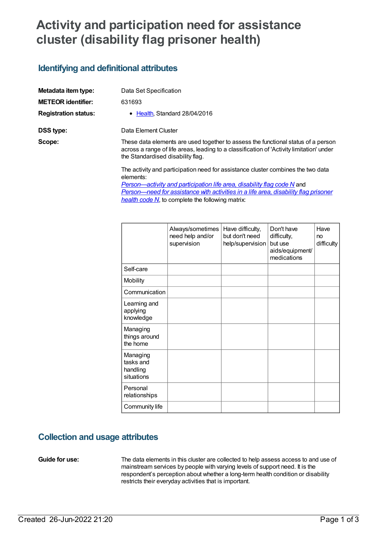# **Activity and participation need for assistance cluster (disability flag prisoner health)**

### **Identifying and definitional attributes**

| Metadata item type:         | Data Set Specification                                                                                                                                                                                             |  |  |
|-----------------------------|--------------------------------------------------------------------------------------------------------------------------------------------------------------------------------------------------------------------|--|--|
| <b>METEOR identifier:</b>   | 631693                                                                                                                                                                                                             |  |  |
| <b>Registration status:</b> | • Health, Standard 28/04/2016                                                                                                                                                                                      |  |  |
| <b>DSS type:</b>            | Data Element Cluster                                                                                                                                                                                               |  |  |
| Scope:                      | These data elements are used together to assess the functional status of a person<br>across a range of life areas, leading to a classification of 'Activity limitation' under<br>the Standardised disability flag. |  |  |
|                             | The activity and participation need for assistance cluster combines the two data<br>elements:                                                                                                                      |  |  |
|                             | Person potivity and participation life area disability flag code N and                                                                                                                                             |  |  |

*[Person—activity](file:///content/505720) and participation life area, disability flag code N* and *[Person—need](file:///content/520803) for assistance with activities in a life area, disability flag prisoner health code N*, to complete the following matrix:

|                                                 | Always/sometimes<br>need help and/or<br>supervision | Have difficulty,<br>but don't need<br>help/supervision | Don't have<br>difficulty,<br>but use<br>aids/equipment/<br>medications | Have<br>no<br>difficulty |
|-------------------------------------------------|-----------------------------------------------------|--------------------------------------------------------|------------------------------------------------------------------------|--------------------------|
| Self-care                                       |                                                     |                                                        |                                                                        |                          |
| Mobility                                        |                                                     |                                                        |                                                                        |                          |
| Communication                                   |                                                     |                                                        |                                                                        |                          |
| Learning and<br>applying<br>knowledge           |                                                     |                                                        |                                                                        |                          |
| Managing<br>things around<br>the home           |                                                     |                                                        |                                                                        |                          |
| Managing<br>tasks and<br>handling<br>situations |                                                     |                                                        |                                                                        |                          |
| Personal<br>relationships                       |                                                     |                                                        |                                                                        |                          |
| Community life                                  |                                                     |                                                        |                                                                        |                          |

### **Collection and usage attributes**

**Guide for use:** The data elements in this cluster are collected to help assess access to and use of mainstream services by people with varying levels of support need. It is the respondent's perception about whether a long-term health condition or disability restricts their everyday activities that is important.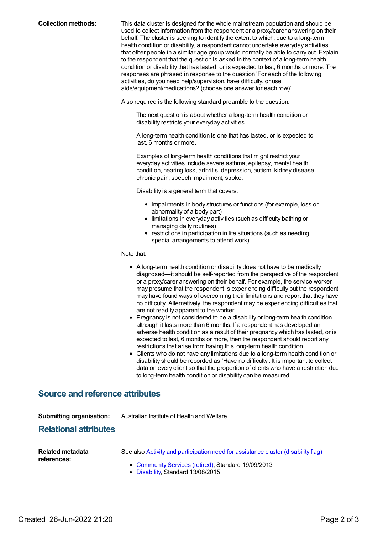**Collection methods:** This data cluster is designed for the whole mainstream population and should be used to collect information from the respondent or a proxy/carer answering on their behalf. The cluster is seeking to identify the extent to which, due to a long-term health condition or disability, a respondent cannot undertake everyday activities that other people in a similar age group would normally be able to carry out. Explain to the respondent that the question is asked in the context of a long-term health condition or disability that has lasted, or is expected to last, 6 months or more. The responses are phrased in response to the question 'For each of the following activities, do you need help/supervision, have difficulty, or use aids/equipment/medications? (choose one answer for each row)'.

Also required is the following standard preamble to the question:

The next question is about whether a long-term health condition or disability restricts your everyday activities.

A long-term health condition is one that has lasted, or is expected to last, 6 months or more.

Examples of long-term health conditions that might restrict your everyday activities include severe asthma, epilepsy, mental health condition, hearing loss, arthritis, depression, autism, kidney disease, chronic pain, speech impairment, stroke.

Disability is a general term that covers:

- impairments in body structures or functions (for example, loss or abnormality of a body part)
- limitations in everyday activities (such as difficulty bathing or managing daily routines)
- restrictions in participation in life situations (such as needing special arrangements to attend work).

Note that:

- A long-term health condition or disability does not have to be medically diagnosed—it should be self-reported from the perspective of the respondent or a proxy/carer answering on their behalf. For example, the service worker may presume that the respondent is experiencing difficulty but the respondent may have found ways of overcoming their limitations and report that they have no difficulty. Alternatively, the respondent may be experiencing difficulties that are not readily apparent to the worker.
- Pregnancy is not considered to be a disability or long-term health condition although it lasts more than 6 months. If a respondent has developed an adverse health condition as a result of their pregnancy which has lasted, or is expected to last, 6 months or more, then the respondent should report any restrictions that arise from having this long-term health condition.
- Clients who do not have any limitations due to a long-term health condition or disability should be recorded as 'Have no difficulty'. It is important to collect data on every client so that the proportion of clients who have a restriction due to long-term health condition or disability can be measured.

### **Source and reference attributes**

| <b>Submitting organisation:</b><br><b>Relational attributes</b> | Australian Institute of Health and Welfare                                                                                                                                           |
|-----------------------------------------------------------------|--------------------------------------------------------------------------------------------------------------------------------------------------------------------------------------|
| Related metadata<br>references:                                 | See also <b>Activity and participation need for assistance cluster (disability flag)</b><br>• Community Services (retired), Standard 19/09/2013<br>• Disability, Standard 13/08/2015 |